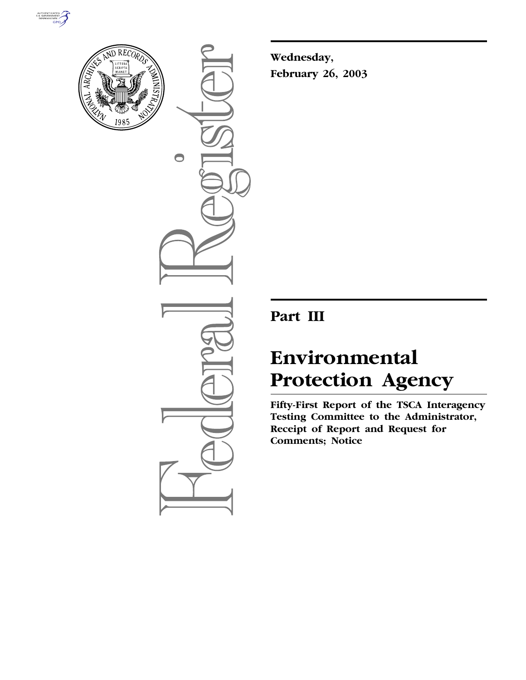



 $\bigcirc$ 

**Wednesday, February 26, 2003**

# **Part III**

# **Environmental Protection Agency**

**Fifty-First Report of the TSCA Interagency Testing Committee to the Administrator, Receipt of Report and Request for Comments; Notice**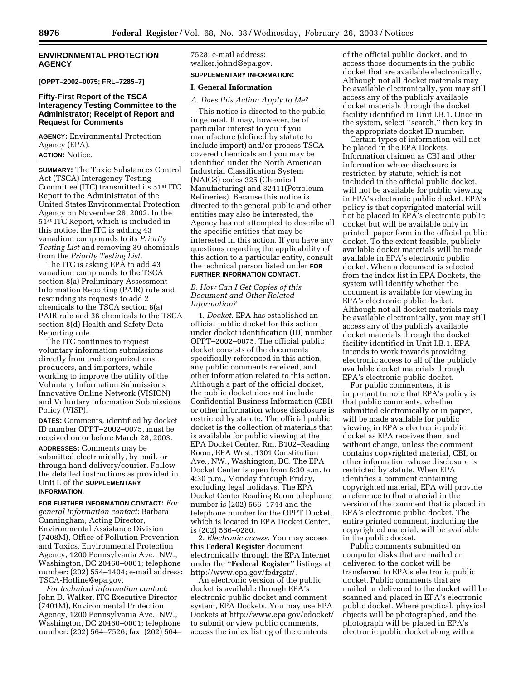#### **ENVIRONMENTAL PROTECTION AGENCY**

**[OPPT–2002–0075; FRL–7285–7]** 

#### **Fifty-First Report of the TSCA Interagency Testing Committee to the Administrator; Receipt of Report and Request for Comments**

**AGENCY:** Environmental Protection Agency (EPA). **ACTION:** Notice.

**SUMMARY:** The Toxic Substances Control Act (TSCA) Interagency Testing Committee (ITC) transmitted its 51st ITC Report to the Administrator of the United States Environmental Protection Agency on November 26, 2002. In the 51st ITC Report, which is included in this notice, the ITC is adding 43 vanadium compounds to its *Priority Testing List* and removing 39 chemicals from the *Priority Testing List*.

The ITC is asking EPA to add 43 vanadium compounds to the TSCA section 8(a) Preliminary Assessment Information Reporting (PAIR) rule and rescinding its requests to add 2 chemicals to the TSCA section 8(a) PAIR rule and 36 chemicals to the TSCA section 8(d) Health and Safety Data Reporting rule.

The ITC continues to request voluntary information submissions directly from trade organizations, producers, and importers, while working to improve the utility of the Voluntary Information Submissions Innovative Online Network (VISION) and Voluntary Information Submissions Policy (VISP).

**DATES:** Comments, identified by docket ID number OPPT–2002–0075, must be received on or before March 28, 2003.

**ADDRESSES:** Comments may be submitted electronically, by mail, or through hand delivery/courier. Follow the detailed instructions as provided in Unit I. of the **SUPPLEMENTARY INFORMATION**.

**FOR FURTHER INFORMATION CONTACT:** *For general information contact*: Barbara Cunningham, Acting Director, Environmental Assistance Division (7408M), Office of Pollution Prevention and Toxics, Environmental Protection Agency, 1200 Pennsylvania Ave., NW., Washington, DC 20460–0001; telephone number: (202) 554–1404; e-mail address: TSCA-Hotline@epa.gov.

*For technical information contact*: John D. Walker, ITC Executive Director (7401M), Environmental Protection Agency, 1200 Pennsylvania Ave., NW., Washington, DC 20460–0001; telephone number: (202) 564–7526; fax: (202) 564– 7528; e-mail address: walker.johnd@epa.gov. **SUPPLEMENTARY INFORMATION:** 

# **I. General Information**

*A. Does this Action Apply to Me?* 

This notice is directed to the public in general. It may, however, be of particular interest to you if you manufacture (defined by statute to include import) and/or process TSCAcovered chemicals and you may be identified under the North American Industrial Classification System (NAICS) codes 325 (Chemical Manufacturing) and 32411(Petroleum Refineries). Because this notice is directed to the general public and other entities may also be interested, the Agency has not attempted to describe all the specific entities that may be interested in this action. If you have any questions regarding the applicability of this action to a particular entity, consult the technical person listed under **FOR FURTHER INFORMATION CONTACT**.

# *B. How Can I Get Copies of this Document and Other Related Information?*

1. *Docket*. EPA has established an official public docket for this action under docket identification (ID) number OPPT–2002–0075. The official public docket consists of the documents specifically referenced in this action, any public comments received, and other information related to this action. Although a part of the official docket, the public docket does not include Confidential Business Information (CBI) or other information whose disclosure is restricted by statute. The official public docket is the collection of materials that is available for public viewing at the EPA Docket Center, Rm. B102–Reading Room, EPA West, 1301 Constitution Ave., NW., Washington, DC. The EPA Docket Center is open from 8:30 a.m. to 4:30 p.m., Monday through Friday, excluding legal holidays. The EPA Docket Center Reading Room telephone number is (202) 566–1744 and the telephone number for the OPPT Docket, which is located in EPA Docket Center, is (202) 566–0280.

2. *Electronic access*. You may access this **Federal Register** document electronically through the EPA Internet under the ''**Federal Register**'' listings at http://www.epa.gov/fedrgstr/.

An electronic version of the public docket is available through EPA's electronic public docket and comment system, EPA Dockets. You may use EPA Dockets at http://www.epa.gov/edocket/ to submit or view public comments, access the index listing of the contents

of the official public docket, and to access those documents in the public docket that are available electronically. Although not all docket materials may be available electronically, you may still access any of the publicly available docket materials through the docket facility identified in Unit I.B.1. Once in the system, select ''search,'' then key in the appropriate docket ID number.

Certain types of information will not be placed in the EPA Dockets. Information claimed as CBI and other information whose disclosure is restricted by statute, which is not included in the official public docket, will not be available for public viewing in EPA's electronic public docket. EPA's policy is that copyrighted material will not be placed in EPA's electronic public docket but will be available only in printed, paper form in the official public docket. To the extent feasible, publicly available docket materials will be made available in EPA's electronic public docket. When a document is selected from the index list in EPA Dockets, the system will identify whether the document is available for viewing in EPA's electronic public docket. Although not all docket materials may be available electronically, you may still access any of the publicly available docket materials through the docket facility identified in Unit I.B.1. EPA intends to work towards providing electronic access to all of the publicly available docket materials through EPA's electronic public docket.

For public commenters, it is important to note that EPA's policy is that public comments, whether submitted electronically or in paper, will be made available for public viewing in EPA's electronic public docket as EPA receives them and without change, unless the comment contains copyrighted material, CBI, or other information whose disclosure is restricted by statute. When EPA identifies a comment containing copyrighted material, EPA will provide a reference to that material in the version of the comment that is placed in EPA's electronic public docket. The entire printed comment, including the copyrighted material, will be available in the public docket.

Public comments submitted on computer disks that are mailed or delivered to the docket will be transferred to EPA's electronic public docket. Public comments that are mailed or delivered to the docket will be scanned and placed in EPA's electronic public docket. Where practical, physical objects will be photographed, and the photograph will be placed in EPA's electronic public docket along with a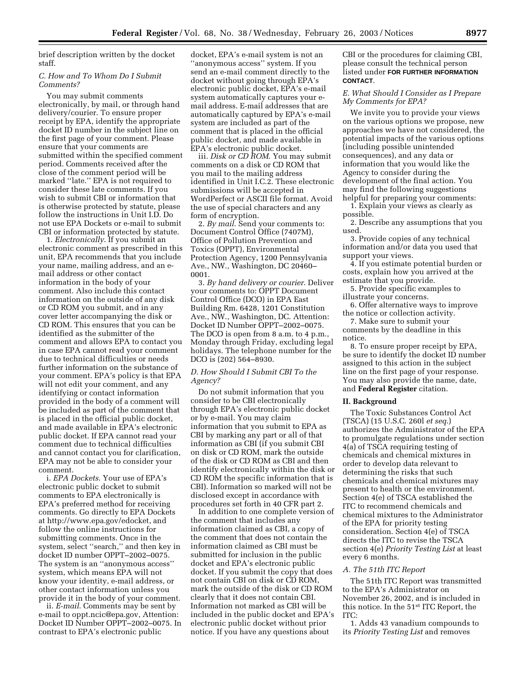brief description written by the docket staff.

#### *C. How and To Whom Do I Submit Comments?*

You may submit comments electronically, by mail, or through hand delivery/courier. To ensure proper receipt by EPA, identify the appropriate docket ID number in the subject line on the first page of your comment. Please ensure that your comments are submitted within the specified comment period. Comments received after the close of the comment period will be marked ''late.'' EPA is not required to consider these late comments. If you wish to submit CBI or information that is otherwise protected by statute, please follow the instructions in Unit I.D. Do not use EPA Dockets or e-mail to submit CBI or information protected by statute.

1. *Electronically*. If you submit an electronic comment as prescribed in this unit, EPA recommends that you include your name, mailing address, and an email address or other contact information in the body of your comment. Also include this contact information on the outside of any disk or CD ROM you submit, and in any cover letter accompanying the disk or CD ROM. This ensures that you can be identified as the submitter of the comment and allows EPA to contact you in case EPA cannot read your comment due to technical difficulties or needs further information on the substance of your comment. EPA's policy is that EPA will not edit your comment, and any identifying or contact information provided in the body of a comment will be included as part of the comment that is placed in the official public docket, and made available in EPA's electronic public docket. If EPA cannot read your comment due to technical difficulties and cannot contact you for clarification, EPA may not be able to consider your comment.

i. *EPA Dockets*. Your use of EPA's electronic public docket to submit comments to EPA electronically is EPA's preferred method for receiving comments. Go directly to EPA Dockets at http://www.epa.gov/edocket, and follow the online instructions for submitting comments. Once in the system, select ''search,'' and then key in docket ID number OPPT–2002–0075. The system is an ''anonymous access'' system, which means EPA will not know your identity, e-mail address, or other contact information unless you provide it in the body of your comment.

ii. *E-mail*. Comments may be sent by e-mail to oppt.ncic@epa.gov, Attention: Docket ID Number OPPT–2002–0075. In contrast to EPA's electronic public

docket, EPA's e-mail system is not an ''anonymous access'' system. If you send an e-mail comment directly to the docket without going through EPA's electronic public docket, EPA's e-mail system automatically captures your email address. E-mail addresses that are automatically captured by EPA's e-mail system are included as part of the comment that is placed in the official public docket, and made available in EPA's electronic public docket.

iii. *Disk or CD ROM*. You may submit comments on a disk or CD ROM that you mail to the mailing address identified in Unit I.C.2. These electronic submissions will be accepted in WordPerfect or ASCII file format. Avoid the use of special characters and any form of encryption.

2. *By mail*. Send your comments to: Document Control Office (7407M), Office of Pollution Prevention and Toxics (OPPT), Environmental Protection Agency, 1200 Pennsylvania Ave., NW., Washington, DC 20460– 0001.

3. *By hand delivery or courier*. Deliver your comments to: OPPT Document Control Office (DCO) in EPA East Building Rm. 6428, 1201 Constitution Ave., NW., Washington, DC. Attention: Docket ID Number OPPT–2002–0075. The DCO is open from 8 a.m. to 4 p.m., Monday through Friday, excluding legal holidays. The telephone number for the DCO is (202) 564–8930.

# *D. How Should I Submit CBI To the Agency?*

Do not submit information that you consider to be CBI electronically through EPA's electronic public docket or by e-mail. You may claim information that you submit to EPA as CBI by marking any part or all of that information as CBI (if you submit CBI on disk or CD ROM, mark the outside of the disk or CD ROM as CBI and then identify electronically within the disk or CD ROM the specific information that is CBI). Information so marked will not be disclosed except in accordance with procedures set forth in 40 CFR part 2.

In addition to one complete version of the comment that includes any information claimed as CBI, a copy of the comment that does not contain the information claimed as CBI must be submitted for inclusion in the public docket and EPA's electronic public docket. If you submit the copy that does not contain CBI on disk or CD ROM, mark the outside of the disk or CD ROM clearly that it does not contain CBI. Information not marked as CBI will be included in the public docket and EPA's electronic public docket without prior notice. If you have any questions about

CBI or the procedures for claiming CBI, please consult the technical person listed under **FOR FURTHER INFORMATION CONTACT**.

# *E. What Should I Consider as I Prepare My Comments for EPA?*

We invite you to provide your views on the various options we propose, new approaches we have not considered, the potential impacts of the various options (including possible unintended consequences), and any data or information that you would like the Agency to consider during the development of the final action. You may find the following suggestions helpful for preparing your comments:

1. Explain your views as clearly as possible.

2. Describe any assumptions that you used.

3. Provide copies of any technical information and/or data you used that support your views.

4. If you estimate potential burden or costs, explain how you arrived at the estimate that you provide.

5. Provide specific examples to illustrate your concerns.

6. Offer alternative ways to improve the notice or collection activity.

7. Make sure to submit your comments by the deadline in this notice.

8. To ensure proper receipt by EPA, be sure to identify the docket ID number assigned to this action in the subject line on the first page of your response. You may also provide the name, date, and **Federal Register** citation.

#### **II. Background**

The Toxic Substances Control Act (TSCA) (15 U.S.C. 260l *et seq*.) authorizes the Administrator of the EPA to promulgate regulations under section 4(a) of TSCA requiring testing of chemicals and chemical mixtures in order to develop data relevant to determining the risks that such chemicals and chemical mixtures may present to health or the environment. Section 4(e) of TSCA established the ITC to recommend chemicals and chemical mixtures to the Administrator of the EPA for priority testing consideration. Section 4(e) of TSCA directs the ITC to revise the TSCA section 4(e) *Priority Testing List* at least every 6 months.

#### *A. The 51th ITC Report*

The 51th ITC Report was transmitted to the EPA's Administrator on November 26, 2002, and is included in this notice. In the 51st ITC Report, the ITC:

1. Adds 43 vanadium compounds to its *Priority Testing List* and removes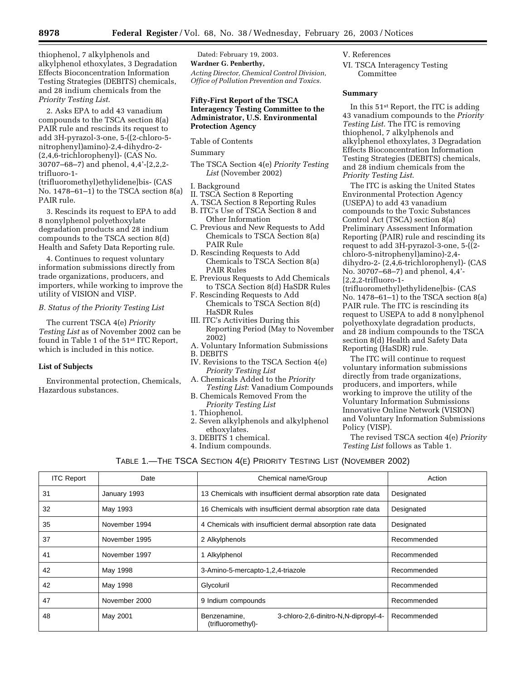thiophenol, 7 alkylphenols and alkylphenol ethoxylates, 3 Degradation Effects Bioconcentration Information Testing Strategies (DEBITS) chemicals, and 28 indium chemicals from the *Priority Testing List*.

2. Asks EPA to add 43 vanadium compounds to the TSCA section 8(a) PAIR rule and rescinds its request to add 3H-pyrazol-3-one, 5-((2-chloro-5 nitrophenyl)amino)-2,4-dihydro-2- (2,4,6-trichlorophenyl)- (CAS No. 30707–68–7) and phenol, 4,4'-[2,2,2 trifluoro-1-

(trifluoromethyl)ethylidene]bis- (CAS No. 1478–61–1) to the TSCA section 8(a) PAIR rule.

3. Rescinds its request to EPA to add 8 nonylphenol polyethoxylate degradation products and 28 indium compounds to the TSCA section 8(d) Health and Safety Data Reporting rule.

4. Continues to request voluntary information submissions directly from trade organizations, producers, and importers, while working to improve the utility of VISION and VISP.

# *B. Status of the Priority Testing List*

The current TSCA 4(e) *Priority Testing List* as of November 2002 can be found in Table 1 of the 51st ITC Report, which is included in this notice.

# **List of Subjects**

Environmental protection, Chemicals, Hazardous substances.

Dated: February 19, 2003.

**Wardner G. Penberthy,**  *Acting Director, Chemical Control Division, Office of Pollution Prevention and Toxics.*

# **Fifty-First Report of the TSCA Interagency Testing Committee to the Administrator, U.S. Environmental Protection Agency**

Table of Contents

Summary

The TSCA Section 4(e) *Priority Testing List* (November 2002)

#### I. Background

II. TSCA Section 8 Reporting

A. TSCA Section 8 Reporting Rules

- B. ITC's Use of TSCA Section 8 and Other Information
- C. Previous and New Requests to Add Chemicals to TSCA Section 8(a) PAIR Rule
- D. Rescinding Requests to Add Chemicals to TSCA Section 8(a) PAIR Rules
- E. Previous Requests to Add Chemicals to TSCA Section 8(d) HaSDR Rules
- F. Rescinding Requests to Add Chemicals to TSCA Section 8(d) HaSDR Rules
- III. ITC's Activities During this Reporting Period (May to November 2002)
- A. Voluntary Information Submissions B. DEBITS
- IV. Revisions to the TSCA Section 4(e) *Priority Testing List*
- A. Chemicals Added to the *Priority Testing List*: Vanadium Compounds
- B. Chemicals Removed From the *Priority Testing List*
- 1. Thiophenol.
- 2. Seven alkylphenols and alkylphenol ethoxylates.
- 3. DEBITS 1 chemical.
- 4. Indium compounds.

V. References

VI. TSCA Interagency Testing Committee

#### **Summary**

In this 51st Report, the ITC is adding 43 vanadium compounds to the *Priority Testing List*. The ITC is removing thiophenol, 7 alkylphenols and alkylphenol ethoxylates, 3 Degradation Effects Bioconcentration Information Testing Strategies (DEBITS) chemicals, and 28 indium chemicals from the *Priority Testing List*.

The ITC is asking the United States Environmental Protection Agency (USEPA) to add 43 vanadium compounds to the Toxic Substances Control Act (TSCA) section 8(a) Preliminary Assessment Information Reporting (PAIR) rule and rescinding its request to add 3H-pyrazol-3-one, 5-((2 chloro-5-nitrophenyl)amino)-2,4 dihydro-2- (2,4,6-trichlorophenyl)- (CAS No. 30707–68–7) and phenol, 4,4'- [2,2,2-trifluoro-1-

(trifluoromethyl)ethylidene]bis- (CAS No. 1478–61–1) to the TSCA section 8(a) PAIR rule. The ITC is rescinding its request to USEPA to add 8 nonylphenol polyethoxylate degradation products, and 28 indium compounds to the TSCA section 8(d) Health and Safety Data Reporting (HaSDR) rule.

The ITC will continue to request voluntary information submissions directly from trade organizations, producers, and importers, while working to improve the utility of the Voluntary Information Submissions Innovative Online Network (VISION) and Voluntary Information Submissions Policy (VISP).

The revised TSCA section 4(e) *Priority Testing List* follows as Table 1.

| <b>ITC Report</b> | Date          | Chemical name/Group                                                        | Action      |
|-------------------|---------------|----------------------------------------------------------------------------|-------------|
| 31                | January 1993  | 13 Chemicals with insufficient dermal absorption rate data                 | Designated  |
| 32                | May 1993      | 16 Chemicals with insufficient dermal absorption rate data                 | Designated  |
| 35                | November 1994 | 4 Chemicals with insufficient dermal absorption rate data                  | Designated  |
| 37                | November 1995 | 2 Alkylphenols                                                             | Recommended |
| 41                | November 1997 | 1 Alkylphenol                                                              | Recommended |
| 42                | May 1998      | 3-Amino-5-mercapto-1,2,4-triazole                                          | Recommended |
| 42                | May 1998      | Glycoluril                                                                 | Recommended |
| 47                | November 2000 | 9 Indium compounds                                                         | Recommended |
| 48                | May 2001      | 3-chloro-2,6-dinitro-N,N-dipropyl-4-<br>Benzenamine,<br>(trifluoromethyl)- | Recommended |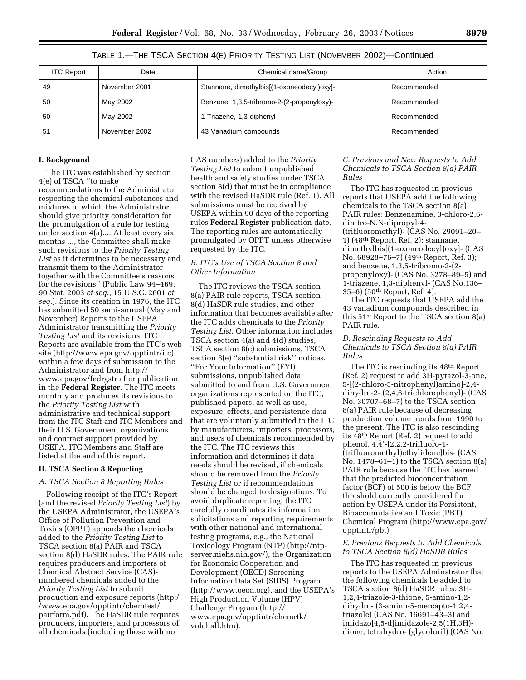TABLE 1.—THE TSCA SECTION 4(E) PRIORITY TESTING LIST (NOVEMBER 2002)—Continued

| <b>ITC Report</b> | Date          | Chemical name/Group                        | Action      |
|-------------------|---------------|--------------------------------------------|-------------|
| 49                | November 2001 | Stannane, dimethylbis[(1-oxoneodecyl)oxy]- | Recommended |
| 50                | May 2002      | Benzene, 1,3,5-tribromo-2-(2-propenyloxy)- | Recommended |
| 50                | May 2002      | 1-Triazene, 1,3-diphenyl-                  | Recommended |
| -51               | November 2002 | 43 Vanadium compounds                      | Recommended |

#### **I. Background**

The ITC was established by section 4(e) of TSCA ''to make recommendations to the Administrator respecting the chemical substances and mixtures to which the Administrator should give priority consideration for the promulgation of a rule for testing under section 4(a).... At least every six months ..., the Committee shall make such revisions to the *Priority Testing List* as it determines to be necessary and transmit them to the Administrator together with the Committee's reasons for the revisions'' (Public Law 94–469, 90 Stat. 2003 *et seq*., 15 U.S.C. 2601 *et seq*.). Since its creation in 1976, the ITC has submitted 50 semi-annual (May and November) Reports to the USEPA Administrator transmitting the *Priority Testing List* and its revisions. ITC Reports are available from the ITC's web site (http://www.epa.gov/opptintr/itc) within a few days of submission to the Administrator and from http:// www.epa.gov/fedrgstr after publication in the **Federal Register**. The ITC meets monthly and produces its revisions to the *Priority Testing List* with administrative and technical support from the ITC Staff and ITC Members and their U.S. Government organizations and contract support provided by USEPA. ITC Members and Staff are listed at the end of this report.

#### **II. TSCA Section 8 Reporting**

#### *A. TSCA Section 8 Reporting Rules*

Following receipt of the ITC's Report (and the revised *Priority Testing List*) by the USEPA Administrator, the USEPA's Office of Pollution Prevention and Toxics (OPPT) appends the chemicals added to the *Priority Testing List* to TSCA section 8(a) PAIR and TSCA section 8(d) HaSDR rules. The PAIR rule requires producers and importers of Chemical Abstract Service (CAS) numbered chemicals added to the *Priority Testing List* to submit production and exposure reports (http:/ /www.epa.gov/opptintr/chemtest/ pairform.pdf). The HaSDR rule requires producers, importers, and processors of all chemicals (including those with no

CAS numbers) added to the *Priority Testing List* to submit unpublished health and safety studies under TSCA section 8(d) that must be in compliance with the revised HaSDR rule (Ref. 1). All submissions must be received by USEPA within 90 days of the reporting rules **Federal Register** publication date. The reporting rules are automatically promulgated by OPPT unless otherwise requested by the ITC.

# *B. ITC's Use of TSCA Section 8 and Other Information*

The ITC reviews the TSCA section 8(a) PAIR rule reports, TSCA section 8(d) HaSDR rule studies, and other information that becomes available after the ITC adds chemicals to the *Priority Testing List*. Other information includes TSCA section 4(a) and 4(d) studies, TSCA section 8(c) submissions, TSCA section 8(e) "substantial risk" notices, ''For Your Information'' (FYI) submissions, unpublished data submitted to and from U.S. Government organizations represented on the ITC, published papers, as well as use, exposure, effects, and persistence data that are voluntarily submitted to the ITC by manufacturers, importers, processors, and users of chemicals recommended by the ITC. The ITC reviews this information and determines if data needs should be revised, if chemicals should be removed from the *Priority Testing List* or if recommendations should be changed to designations. To avoid duplicate reporting, the ITC carefully coordinates its information solicitations and reporting requirements with other national and international testing programs, e.g., the National Toxicology Program (NTP) (http://ntpserver.niehs.nih.gov/), the Organization for Economic Cooperation and Development (OECD) Screening Information Data Set (SIDS) Program (http://www.oecd.org), and the USEPA's High Production Volume (HPV) Challenge Program (http:// www.epa.gov/opptintr/chemrtk/ volchall.htm).

*C. Previous and New Requests to Add Chemicals to TSCA Section 8(a) PAIR Rules* 

The ITC has requested in previous reports that USEPA add the following chemicals to the TSCA section 8(a) PAIR rules: Benzenamine, 3-chloro-2,6 dinitro-N,N-dipropyl-4- (trifluoromethyl)- (CAS No. 29091–20– 1) (48th Report, Ref. 2); stannane, dimethylbis[(1-oxoneodecyl)oxy]- (CAS No. 68928–76–7) (49th Report, Ref. 3); and benzene, 1,3,5-tribromo-2-(2 propenyloxy)- (CAS No. 3278–89–5) and 1-triazene, 1,3-diphenyl- (CAS No.136– 35–6) (50th Report, Ref. 4).

The ITC requests that USEPA add the 43 vanadium compounds described in this 51st Report to the TSCA section 8(a) PAIR rule.

# *D. Rescinding Requests to Add Chemicals to TSCA Section 8(a) PAIR Rules*

The ITC is rescinding its 48th Report (Ref. 2) request to add 3H-pyrazol-3-one, 5-[(2-chloro-5-nitrophenyl)amino]-2,4 dihydro-2- (2,4,6-trichlorophenyl)- (CAS No. 30707–68–7) to the TSCA section 8(a) PAIR rule because of decreasing production volume trends from 1990 to the present. The ITC is also rescinding its 48th Report (Ref. 2) request to add phenol, 4,4'-[2,2,2-trifluoro-1- (trifluoromethyl)ethylidene]bis- (CAS No. 1478–61–1) to the TSCA section 8(a) PAIR rule because the ITC has learned that the predicted bioconcentration factor (BCF) of 500 is below the BCF threshold currently considered for action by USEPA under its Persistent, Bioaccumulative and Toxic (PBT) Chemical Program (http://www.epa.gov/ opptintr/pbt).

#### *E. Previous Requests to Add Chemicals to TSCA Section 8(d) HaSDR Rules*

The ITC has requested in previous reports to the USEPA Adminstrator that the following chemicals be added to TSCA section 8(d) HaSDR rules: 3H-1,2,4-triazole-3-thione, 5-amino-1,2 dihydro- (3-amino-5-mercapto-1,2,4 triazole) (CAS No. 16691–43–3) and imidazo[4,5-d]imidazole-2,5(1H,3H) dione, tetrahydro- (glycoluril) (CAS No.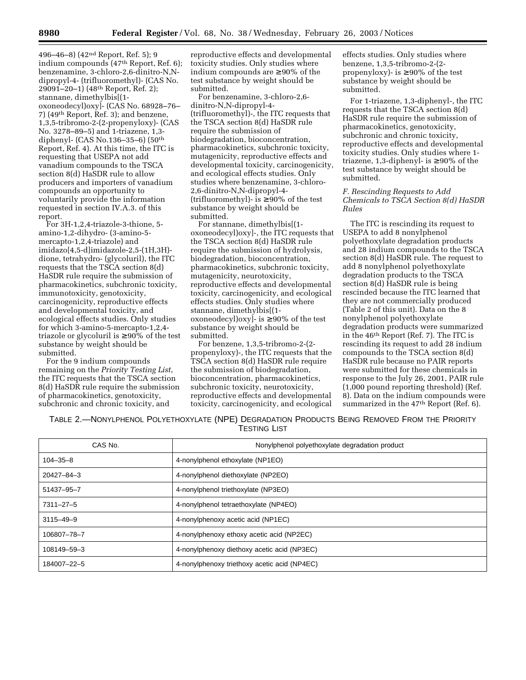496–46–8) (42<sup>nd</sup> Report, Ref. 5); 9 indium compounds (47th Report, Ref. 6); benzenamine, 3-chloro-2,6-dinitro-N,Ndipropyl-4- (trifluoromethyl)- (CAS No. 29091–20–1) (48th Report, Ref. 2); stannane, dimethylbis[(1 oxoneodecyl)oxy]- (CAS No. 68928–76– 7) (49th Report, Ref. 3); and benzene, 1,3,5-tribromo-2-(2-propenyloxy)- (CAS No. 3278–89–5) and 1-triazene, 1,3 diphenyl- (CAS No.136–35–6) (50th Report, Ref. 4). At this time, the ITC is requesting that USEPA not add vanadium compounds to the TSCA section 8(d) HaSDR rule to allow producers and importers of vanadium compounds an opportunity to voluntarily provide the information requested in section IV.A.3. of this report.

For 3H-1,2,4-triazole-3-thione, 5 amino-1,2-dihydro- (3-amino-5 mercapto-1,2,4-triazole) and imidazo[4,5-d]imidazole-2,5-(1H,3H) dione, tetrahydro- (glycoluril), the ITC requests that the TSCA section 8(d) HaSDR rule require the submission of pharmacokinetics, subchronic toxicity, immunotoxicity, genotoxicity, carcinogenicity, reproductive effects and developmental toxicity, and ecological effects studies. Only studies for which 3-amino-5-mercapto-1,2,4 triazole or glycoluril is  $\geq 90\%$  of the test substance by weight should be submitted.

For the 9 indium compounds remaining on the *Priority Testing List*, the ITC requests that the TSCA section 8(d) HaSDR rule require the submission of pharmacokinetics, genotoxicity, subchronic and chronic toxicity, and

reproductive effects and developmental toxicity studies. Only studies where indium compounds are ≥ 90% of the test substance by weight should be submitted.

For benzenamine, 3-chloro-2,6 dinitro-N,N-dipropyl-4- (trifluoromethyl)-, the ITC requests that the TSCA section 8(d) HaSDR rule require the submission of biodegradation, bioconcentration, pharmacokinetics, subchronic toxicity, mutagenicity, reproductive effects and developmental toxicity, carcinogenicity, and ecological effects studies. Only studies where benzenamine, 3-chloro-2,6-dinitro-N,N-dipropyl-4- (trifluoromethyl)- is  $\geq 90\%$  of the test substance by weight should be submitted.

For stannane, dimethylbis[(1 oxoneodecyl)oxy]-, the ITC requests that the TSCA section 8(d) HaSDR rule require the submission of hydrolysis, biodegradation, bioconcentration, pharmacokinetics, subchronic toxicity, mutagenicity, neurotoxicity, reproductive effects and developmental toxicity, carcinogenicity, and ecological effects studies. Only studies where stannane, dimethylbis[(1 oxoneodecyl)oxy]- is ≥ 90% of the test substance by weight should be submitted.

For benzene, 1,3,5-tribromo-2-(2 propenyloxy)-, the ITC requests that the TSCA section 8(d) HaSDR rule require the submission of biodegradation, bioconcentration, pharmacokinetics, subchronic toxicity, neurotoxicity, reproductive effects and developmental toxicity, carcinogenicity, and ecological effects studies. Only studies where benzene, 1,3,5-tribromo-2-(2 propenyloxy)- is  $\geq 90\%$  of the test substance by weight should be submitted.

For 1-triazene, 1,3-diphenyl-, the ITC requests that the TSCA section 8(d) HaSDR rule require the submission of pharmacokinetics, genotoxicity, subchronic and chronic toxicity, reproductive effects and developmental toxicity studies. Only studies where 1 triazene, 1,3-diphenyl- is  $\geq 90\%$  of the test substance by weight should be submitted.

#### *F. Rescinding Requests to Add Chemicals to TSCA Section 8(d) HaSDR Rules*

The ITC is rescinding its request to USEPA to add 8 nonylphenol polyethoxylate degradation products and 28 indium compounds to the TSCA section 8(d) HaSDR rule. The request to add 8 nonylphenol polyethoxylate degradation products to the TSCA section 8(d) HaSDR rule is being rescinded because the ITC learned that they are not commercially produced (Table 2 of this unit). Data on the 8 nonylphenol polyethoxylate degradation products were summarized in the 46th Report (Ref. 7). The ITC is rescinding its request to add 28 indium compounds to the TSCA section 8(d) HaSDR rule because no PAIR reports were submitted for these chemicals in response to the July 26, 2001, PAIR rule (1,000 pound reporting threshold) (Ref. 8). Data on the indium compounds were summarized in the 47<sup>th</sup> Report (Ref. 6).

TABLE 2.—NONYLPHENOL POLYETHOXYLATE (NPE) DEGRADATION PRODUCTS BEING REMOVED FROM THE PRIORITY TESTING LIST

| CAS No.          | Nonylphenol polyethoxylate degradation product |
|------------------|------------------------------------------------|
| $104 - 35 - 8$   | 4-nonylphenol ethoxylate (NP1EO)               |
| $20427 - 84 - 3$ | 4-nonylphenol diethoxylate (NP2EO)             |
| 51437-95-7       | 4-nonylphenol triethoxylate (NP3EO)            |
| $7311 - 27 - 5$  | 4-nonylphenol tetraethoxylate (NP4EO)          |
| $3115 - 49 - 9$  | 4-nonylphenoxy acetic acid (NP1EC)             |
| 106807-78-7      | 4-nonylphenoxy ethoxy acetic acid (NP2EC)      |
| 108149-59-3      | 4-nonylphenoxy diethoxy acetic acid (NP3EC)    |
| 184007-22-5      | 4-nonylphenoxy triethoxy acetic acid (NP4EC)   |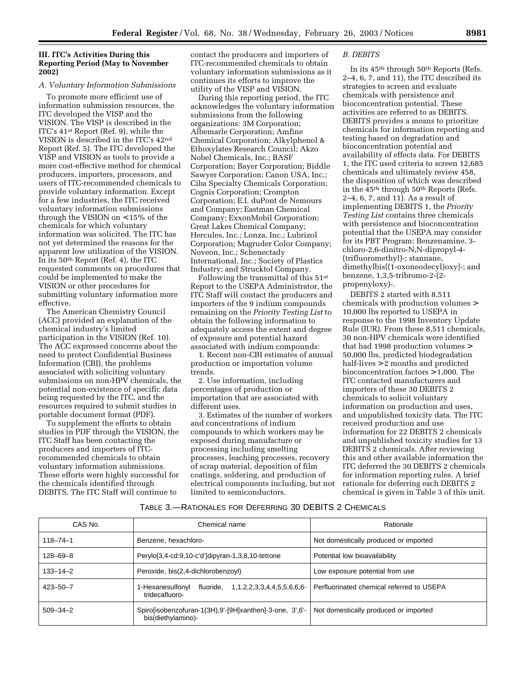# **III. ITC's Activities During this Reporting Period (May to November 2002)**

#### *A. Voluntary Information Submissions*

To promote more efficient use of information submission resources, the ITC developed the VISP and the VISION. The VISP is described in the ITC's 41st Report (Ref. 9), while the VISION is described in the ITC's 42nd Report (Ref. 5). The ITC developed the VISP and VISION as tools to provide a more cost-effective method for chemical producers, importers, processors, and users of ITC-recommended chemicals to provide voluntary information. Except for a few industries, the ITC received voluntary information submissions through the VISION on < 15% of the chemicals for which voluntary information was solicited. The ITC has not yet determined the reasons for the apparent low utilization of the VISION. In its 50th Report (Ref. 4), the ITC requested comments on procedures that could be implemented to make the VISION or other procedures for submitting voluntary information more effective.

The American Chemistry Council (ACC) provided an explanation of the chemical industry's limited participation in the VISION (Ref. 10). The ACC expressed concerns about the need to protect Confidential Business Information (CBI), the problems associated with soliciting voluntary submissions on non-HPV chemicals, the potential non-existence of specific data being requested by the ITC, and the resources required to submit studies in portable document format (PDF).

To supplement the efforts to obtain studies in PDF through the VISION, the ITC Staff has been contacting the producers and importers of ITCrecommended chemicals to obtain voluntary information submissions. These efforts were highly successful for the chemicals identified through DEBITS. The ITC Staff will continue to

contact the producers and importers of ITC-recommended chemicals to obtain voluntary information submissions as it continues its efforts to improve the utility of the VISP and VISION.

During this reporting period, the ITC acknowledges the voluntary information submissions from the following organizations: 3M Corporation; Albemarle Corporation; Amfine Chemical Corporation; Alkylphenol & Ethoxylates Research Council; Akzo Nobel Chemicals, Inc.; BASF Corporation; Bayer Corporation; Biddle Sawyer Corporation; Canon USA, Inc.; Ciba Specialty Chemicals Corporation; Cognis Corporation; Crompton Corporation; E.I. duPont de Nemours and Company; Eastman Chemical Company; ExxonMobil Corporation; Great Lakes Chemical Company; Hercules, Inc.; Lonza, Inc.; Lubrizol Corporation; Magruder Color Company; Noveon, Inc.; Schenectady International, Inc.; Society of Plastics Industry; and Strucktol Company.

Following the transmittal of this 51st Report to the USEPA Administrator, the ITC Staff will contact the producers and importers of the 9 indium compounds remaining on the *Priority Testing List* to obtain the following information to adequately access the extent and degree of exposure and potential hazard associated with indium compounds:

1. Recent non-CBI estimates of annual production or importation volume trends.

2. Use information, including percentages of production or importation that are associated with different uses.

3. Estimates of the number of workers and concentrations of indium compounds to which workers may be exposed during manufacture or processing including smelting processes, leaching processes, recovery of scrap material, deposition of film coatings, soldering, and production of electrical components including, but not limited to semiconductors.

#### *B. DEBITS*

In its 45th through 50th Reports (Refs. 2–4, 6, 7, and 11), the ITC described its strategies to screen and evaluate chemicals with persistence and bioconcentration potential. These activities are referred to as DEBITS. DEBITS provides a means to prioritize chemicals for information reporting and testing based on degradation and bioconcentration potential and availability of effects data. For DEBITS 1, the ITC used criteria to screen 12,685 chemicals and ultimately review 458, the disposition of which was described in the 45th through 50th Reports (Refs. 2–4, 6, 7, and 11). As a result of implementing DEBITS 1, the *Priority Testing List* contains three chemicals with persistence and bioconcentration potential that the USEPA may consider for its PBT Program: Benzenamine, 3 chloro-2,6-dinitro-N,N-dipropyl-4- (trifluoromethyl)-; stannane, dimethylbis[(1-oxoneodecyl)oxy]-; and benzene, 1,3,5-tribromo-2-(2 propenyloxy)-.

DEBITS 2 started with 8,511 chemicals with production volumes > 10,000 lbs reported to USEPA in response to the 1998 Inventory Update Rule (IUR). From these 8,511 chemicals, 30 non-HPV chemicals were identified that had 1998 production volumes > 50,000 lbs, predicted biodegradation half-lives > 2 months and predicted bioconcentration factors > 1,000. The ITC contacted manufacturers and importers of these 30 DEBITS 2 chemicals to solicit voluntary information on production and uses, and unpublished toxicity data. The ITC received production and use information for 22 DEBITS 2 chemicals and unpublished toxicity studies for 13 DEBITS 2 chemicals. After reviewing this and other available information the ITC deferred the 30 DEBITS 2 chemicals for information reporting rules. A brief rationale for deferring each DEBITS 2 chemical is given in Table 3 of this unit.

# TABLE 3.—RATIONALES FOR DEFERRING 30 DEBITS 2 CHEMICALS

| CAS No.        | Chemical name                                                                   | Rationale                                 |
|----------------|---------------------------------------------------------------------------------|-------------------------------------------|
| $118 - 74 - 1$ | Benzene, hexachloro-                                                            | Not domestically produced or imported     |
| $128 - 69 - 8$ | Perylo[3,4-cd:9,10-c'd']dipyran-1,3,8,10-tetrone                                | Potential low bioavailability             |
| $133 - 14 - 2$ | Peroxide, bis(2,4-dichlorobenzoyl)                                              | Low exposure potential from use           |
| $423 - 50 - 7$ | fluoride, 1,1,2,2,3,3,4,4,5,5,6,6,6-<br>1-Hexanesulfonyl<br>tridecafluoro-      | Perfluorinated chemical referred to USEPA |
| $509 - 34 - 2$ | Spirolisobenzofuran-1(3H), 9'-[9H]xanthen]-3-one, 3', 6'-<br>bis(diethylamino)- | Not domestically produced or imported     |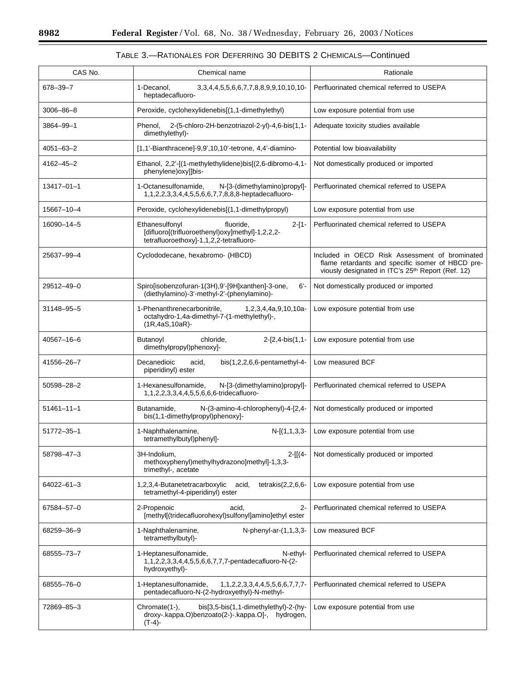$\equiv$ 

| TABLE 3.—RATIONALES FOR DEFERRING 30 DEBITS 2 CHEMICALS—Continued |
|-------------------------------------------------------------------|
|-------------------------------------------------------------------|

| CAS No.          | Chemical name                                                                                                                         | Rationale                                                                                                                                                            |
|------------------|---------------------------------------------------------------------------------------------------------------------------------------|----------------------------------------------------------------------------------------------------------------------------------------------------------------------|
| 678-39-7         | 1-Decanol,<br>3, 3, 4, 4, 5, 5, 6, 6, 7, 7, 8, 8, 9, 9, 10, 10, 10-<br>heptadecafluoro-                                               | Perfluorinated chemical referred to USEPA                                                                                                                            |
| 3006-86-8        | Peroxide, cyclohexylidenebis[(1,1-dimethylethyl)                                                                                      | Low exposure potential from use                                                                                                                                      |
| 3864-99-1        | 2-(5-chloro-2H-benzotriazol-2-yl)-4,6-bis(1,1-<br>Phenol.<br>dimethylethyl)-                                                          | Adequate toxicity studies available                                                                                                                                  |
| $4051 - 63 - 2$  | [1,1'-Bianthracene]-9,9',10,10'-tetrone, 4,4'-diamino-                                                                                | Potential low bioavailability                                                                                                                                        |
| 4162-45-2        | Ethanol, 2,2'-[(1-methylethylidene)bis[(2,6-dibromo-4,1-<br>phenylene) oxyllbis-                                                      | Not domestically produced or imported                                                                                                                                |
| $13417 - 01 - 1$ | 1-Octanesulfonamide,<br>N-[3-(dimethylamino)propyl]-<br>1,1,2,2,3,3,4,4,5,5,6,6,7,7,8,8,8-heptadecafluoro-                            | Perfluorinated chemical referred to USEPA                                                                                                                            |
| 15667-10-4       | Peroxide, cyclohexylidenebis[(1,1-dimethylpropyl)                                                                                     | Low exposure potential from use                                                                                                                                      |
| 16090-14-5       | Ethanesulfonyl<br>$2-[1-$<br>fluoride,<br>[difluoro[(trifluoroethenyl)oxy]methyl]-1,2,2,2-<br>tetrafluoroethoxy]-1,1,2,2-tetrafluoro- | Perfluorinated chemical referred to USEPA                                                                                                                            |
| 25637-99-4       | Cyclododecane, hexabromo- (HBCD)                                                                                                      | Included in OECD Risk Assessment of brominated<br>flame retardants and specific isomer of HBCD pre-<br>viously designated in ITC's 25 <sup>th</sup> Report (Ref. 12) |
| 29512-49-0       | 6'-<br>Spiro[isobenzofuran-1(3H),9'-[9H]xanthen]-3-one,<br>(diethylamino)-3'-methyl-2'-(phenylamino)-                                 | Not domestically produced or imported                                                                                                                                |
| 31148-95-5       | 1-Phenanthrenecarbonitrile,<br>1,2,3,4,4a,9,10,10a-<br>octahydro-1,4a-dimethyl-7-(1-methylethyl)-,<br>$(1R, 4aS, 10aR)$ -             | Low exposure potential from use                                                                                                                                      |
| 40567-16-6       | Butanoyl<br>chloride,<br>$2-[2,4-bis(1,1-$<br>dimethylpropyl)phenoxy]-                                                                | Low exposure potential from use                                                                                                                                      |
| 41556-26-7       | Decanedioic<br>bis $(1,2,2,6,6$ -pentamethyl-4-<br>acid,<br>piperidinyl) ester                                                        | Low measured BCF                                                                                                                                                     |
| 50598-28-2       | 1-Hexanesulfonamide,<br>N-[3-(dimethylamino)propyl]-<br>1,1,2,2,3,3,4,4,5,5,6,6,6-tridecafluoro-                                      | Perfluorinated chemical referred to USEPA                                                                                                                            |
| 51461-11-1       | N-(3-amino-4-chlorophenyl)-4-[2,4-<br>Butanamide,<br>bis(1,1-dimethylpropyl)phenoxy]-                                                 | Not domestically produced or imported                                                                                                                                |
| 51772-35-1       | $N-[ (1,1,3,3-$<br>1-Naphthalenamine,<br>tetramethylbutyl)phenyl]-                                                                    | Low exposure potential from use                                                                                                                                      |
| 58798-47-3       | 3H-Indolium,<br>$2-[[(4-$<br>methoxyphenyl)methylhydrazono]methyl]-1,3,3-<br>trimethyl-, acetate                                      | Not domestically produced or imported                                                                                                                                |
| 64022-61-3       | 1,2,3,4-Butanetetracarboxylic<br>tetrakis $(2,2,6,6$ -<br>acid,<br>tetramethyl-4-piperidinyl) ester                                   | Low exposure potential from use                                                                                                                                      |
| 67584-57-0       | 2-Propenoic<br>acid,<br>2-<br>[methyl[(tridecafluorohexyl)sulfonyl]amino]ethyl ester                                                  | Perfluorinated chemical referred to USEPA                                                                                                                            |
| 68259-36-9       | N-phenyl-ar-(1,1,3,3-<br>1-Naphthalenamine,<br>tetramethylbutyl)-                                                                     | Low measured BCF                                                                                                                                                     |
| 68555-73-7       | 1-Heptanesulfonamide,<br>N-ethyl-<br>1,1,2,2,3,3,4,4,5,5,6,6,7,7,7-pentadecafluoro-N-(2-<br>hydroxyethyl)-                            | Perfluorinated chemical referred to USEPA                                                                                                                            |
| 68555-76-0       | 1-Heptanesulfonamide,<br>1, 1, 2, 2, 3, 3, 4, 4, 5, 5, 6, 6, 7, 7, 7-<br>pentadecafluoro-N-(2-hydroxyethyl)-N-methyl-                 | Perfluorinated chemical referred to USEPA                                                                                                                            |
| 72869-85-3       | Chromate(1-),<br>bis[3,5-bis(1,1-dimethylethyl)-2-(hy-<br>droxy-.kappa.O)benzoato(2-)-.kappa.O]-,<br>hydrogen,<br>$(T-4)$ -           | Low exposure potential from use                                                                                                                                      |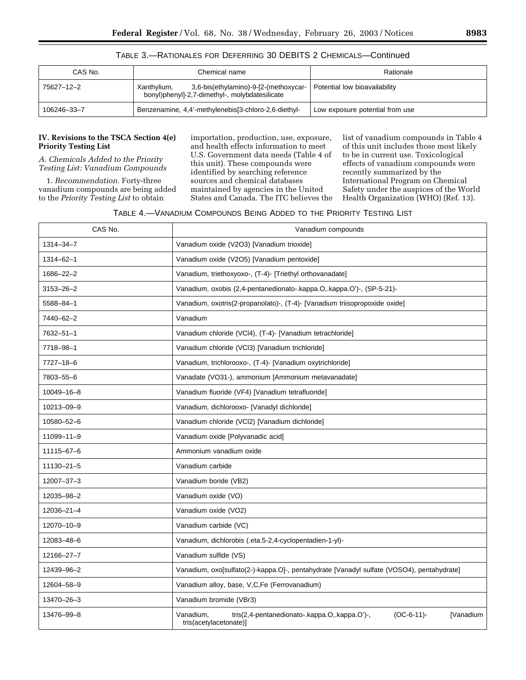# TABLE 3.—RATIONALES FOR DEFERRING 30 DEBITS 2 CHEMICALS—Continued

| CAS No.     | Chemical name                                                                                          | Rationale                       |
|-------------|--------------------------------------------------------------------------------------------------------|---------------------------------|
| 75627–12–2  | 3,6-bis(ethylamino)-9-[2-(methoxycar-<br>Xanthylium,<br>bonyl)phenyl]-2,7-dimethyl-, molybdatesilicate | Potential low bioavailability   |
| 106246-33-7 | Benzenamine, 4,4'-methylenebis[3-chloro-2,6-diethyl-                                                   | Low exposure potential from use |

# **IV. Revisions to the TSCA Section 4(e) Priority Testing List**

*A. Chemicals Added to the Priority Testing List: Vanadium Compounds* 

1. *Recommendation*. Forty-three vanadium compounds are being added to the *Priority Testing List* to obtain

importation, production, use, exposure, and health effects information to meet U.S. Government data needs (Table 4 of this unit). These compounds were identified by searching reference sources and chemical databases maintained by agencies in the United States and Canada. The ITC believes the

list of vanadium compounds in Table 4 of this unit includes those most likely to be in current use. Toxicological effects of vanadium compounds were recently summarized by the International Program on Chemical Safety under the auspices of the World Health Organization (WHO) (Ref. 13).

| CAS No.         | Vanadium compounds                                                                                                 |  |
|-----------------|--------------------------------------------------------------------------------------------------------------------|--|
| 1314-34-7       | Vanadium oxide (V2O3) [Vanadium trioxide]                                                                          |  |
| $1314 - 62 - 1$ | Vanadium oxide (V2O5) [Vanadium pentoxide]                                                                         |  |
| 1686-22-2       | Vanadium, triethoxyoxo-, (T-4)- [Triethyl orthovanadate]                                                           |  |
| $3153 - 26 - 2$ | Vanadium, oxobis (2,4-pentanedionato-.kappa.O,.kappa.O')-, (SP-5-21)-                                              |  |
| 5588-84-1       | Vanadium, oxotris(2-propanolato)-, (T-4)- [Vanadium triisopropoxide oxide]                                         |  |
| 7440-62-2       | Vanadium                                                                                                           |  |
| 7632-51-1       | Vanadium chloride (VCI4), (T-4)- [Vanadium tetrachloride]                                                          |  |
| 7718-98-1       | Vanadium chloride (VCl3) [Vanadium trichloride]                                                                    |  |
| 7727-18-6       | Vanadium, trichlorooxo-, (T-4)- [Vanadium oxytrichloride]                                                          |  |
| 7803-55-6       | Vanadate (VO31-), ammonium [Ammonium metavanadate]                                                                 |  |
| 10049-16-8      | Vanadium fluoride (VF4) [Vanadium tetrafluoride]                                                                   |  |
| 10213-09-9      | Vanadium, dichlorooxo- [Vanadyl dichloride]                                                                        |  |
| 10580-52-6      | Vanadium chloride (VCl2) [Vanadium dichloride]                                                                     |  |
| 11099-11-9      | Vanadium oxide [Polyvanadic acid]                                                                                  |  |
| 11115-67-6      | Ammonium vanadium oxide                                                                                            |  |
| 11130-21-5      | Vanadium carbide                                                                                                   |  |
| 12007-37-3      | Vanadium boride (VB2)                                                                                              |  |
| 12035-98-2      | Vanadium oxide (VO)                                                                                                |  |
| 12036-21-4      | Vanadium oxide (VO2)                                                                                               |  |
| 12070-10-9      | Vanadium carbide (VC)                                                                                              |  |
| 12083-48-6      | Vanadium, dichlorobis (.eta.5-2,4-cyclopentadien-1-yl)-                                                            |  |
| 12166-27-7      | Vanadium sulfide (VS)                                                                                              |  |
| 12439-96-2      | Vanadium, oxo[sulfato(2-)-kappa.O]-, pentahydrate [Vanadyl sulfate (VOSO4), pentahydrate]                          |  |
| 12604-58-9      | Vanadium alloy, base, V,C,Fe (Ferrovanadium)                                                                       |  |
| 13470-26-3      | Vanadium bromide (VBr3)                                                                                            |  |
| 13476-99-8      | $(OC-6-11)$ -<br>Vanadium,<br>tris(2,4-pentanedionato-.kappa.O,.kappa.O')-,<br>[Vanadium<br>tris(acetylacetonate)] |  |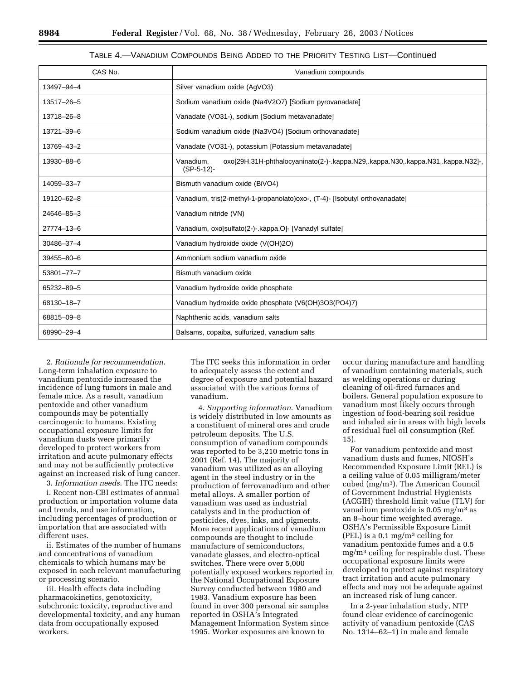# TABLE 4.—VANADIUM COMPOUNDS BEING ADDED TO THE PRIORITY TESTING LIST—Continued

| CAS No.    | Vanadium compounds                                                                                            |
|------------|---------------------------------------------------------------------------------------------------------------|
| 13497-94-4 | Silver vanadium oxide (AgVO3)                                                                                 |
| 13517-26-5 | Sodium vanadium oxide (Na4V2O7) [Sodium pyrovanadate]                                                         |
| 13718-26-8 | Vanadate (VO31-), sodium [Sodium metavanadate]                                                                |
| 13721-39-6 | Sodium vanadium oxide (Na3VO4) [Sodium orthovanadate]                                                         |
| 13769-43-2 | Vanadate (VO31-), potassium [Potassium metavanadate]                                                          |
| 13930-88-6 | Vanadium,<br>oxo[29H,31H-phthalocyaninato(2-)-.kappa.N29,.kappa.N30,.kappa.N31,.kappa.N32]-,<br>$(SP-5-12)$ - |
| 14059-33-7 | Bismuth vanadium oxide (BiVO4)                                                                                |
| 19120-62-8 | Vanadium, tris(2-methyl-1-propanolato)oxo-, (T-4)- [Isobutyl orthovanadate]                                   |
| 24646-85-3 | Vanadium nitride (VN)                                                                                         |
| 27774-13-6 | Vanadium, oxo[sulfato(2-)-.kappa.O]- [Vanadyl sulfate]                                                        |
| 30486-37-4 | Vanadium hydroxide oxide (V(OH)2O)                                                                            |
| 39455-80-6 | Ammonium sodium vanadium oxide                                                                                |
| 53801-77-7 | Bismuth vanadium oxide                                                                                        |
| 65232-89-5 | Vanadium hydroxide oxide phosphate                                                                            |
| 68130-18-7 | Vanadium hydroxide oxide phosphate (V6(OH)3O3(PO4)7)                                                          |
| 68815-09-8 | Naphthenic acids, vanadium salts                                                                              |
| 68990-29-4 | Balsams, copaiba, sulfurized, vanadium salts                                                                  |

2. *Rationale for recommendation*. Long-term inhalation exposure to vanadium pentoxide increased the incidence of lung tumors in male and female mice. As a result, vanadium pentoxide and other vanadium compounds may be potentially carcinogenic to humans. Existing occupational exposure limits for vanadium dusts were primarily developed to protect workers from irritation and acute pulmonary effects and may not be sufficiently protective against an increased risk of lung cancer.

3. *Information needs*. The ITC needs:

i. Recent non-CBI estimates of annual production or importation volume data and trends, and use information, including percentages of production or importation that are associated with different uses.

ii. Estimates of the number of humans and concentrations of vanadium chemicals to which humans may be exposed in each relevant manufacturing or processing scenario.

iii. Health effects data including pharmacokinetics, genotoxicity, subchronic toxicity, reproductive and developmental toxicity, and any human data from occupationally exposed workers.

The ITC seeks this information in order to adequately assess the extent and degree of exposure and potential hazard associated with the various forms of vanadium.

4. *Supporting information*. Vanadium is widely distributed in low amounts as a constituent of mineral ores and crude petroleum deposits. The U.S. consumption of vanadium compounds was reported to be 3,210 metric tons in 2001 (Ref. 14). The majority of vanadium was utilized as an alloying agent in the steel industry or in the production of ferrovanadium and other metal alloys. A smaller portion of vanadium was used as industrial catalysts and in the production of pesticides, dyes, inks, and pigments. More recent applications of vanadium compounds are thought to include manufacture of semiconductors, vanadate glasses, and electro-optical switches. There were over 5,000 potentially exposed workers reported in the National Occupational Exposure Survey conducted between 1980 and 1983. Vanadium exposure has been found in over 300 personal air samples reported in OSHA's Integrated Management Information System since 1995. Worker exposures are known to

occur during manufacture and handling of vanadium containing materials, such as welding operations or during cleaning of oil-fired furnaces and boilers. General population exposure to vanadium most likely occurs through ingestion of food-bearing soil residue and inhaled air in areas with high levels of residual fuel oil consumption (Ref. 15).

For vanadium pentoxide and most vanadium dusts and fumes, NIOSH's Recommended Exposure Limit (REL) is a ceiling value of 0.05 milligram/meter cubed (mg/m3). The American Council of Government Industrial Hygienists (ACGIH) threshold limit value (TLV) for vanadium pentoxide is 0.05 mg/m3 as an 8–hour time weighted average. OSHA's Permissible Exposure Limit (PEL) is a  $0.1 \text{ mg/m}^3$  ceiling for vanadium pentoxide fumes and a 0.5 mg/m3 ceiling for respirable dust. These occupational exposure limits were developed to protect against respiratory tract irritation and acute pulmonary effects and may not be adequate against an increased risk of lung cancer.

In a 2-year inhalation study, NTP found clear evidence of carcinogenic activity of vanadium pentoxide (CAS No. 1314–62–1) in male and female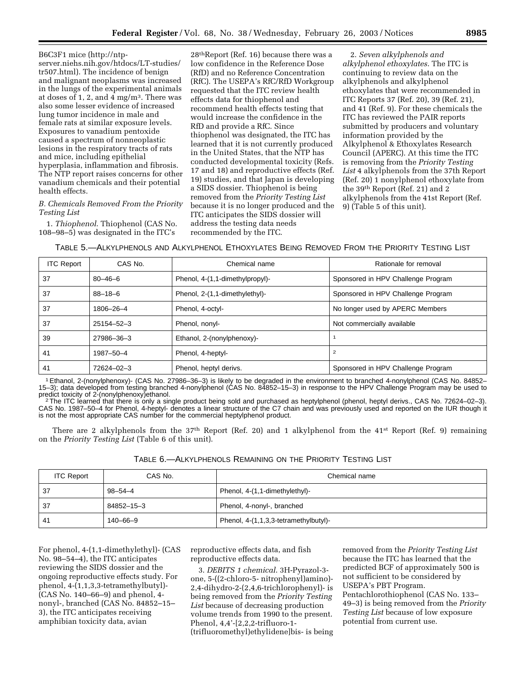B6C3F1 mice (http://ntpserver.niehs.nih.gov/htdocs/LT-studies/ tr507.html). The incidence of benign and malignant neoplasms was increased in the lungs of the experimental animals at doses of 1, 2, and  $4 \text{ mg/m}^3$ . There was also some lesser evidence of increased lung tumor incidence in male and female rats at similar exposure levels. Exposures to vanadium pentoxide caused a spectrum of nonneoplastic lesions in the respiratory tracts of rats and mice, including epithelial hyperplasia, inflammation and fibrosis. The NTP report raises concerns for other vanadium chemicals and their potential health effects.

# *B. Chemicals Removed From the Priority Testing List*

1. *Thiophenol*. Thiophenol (CAS No. 108–98–5) was designated in the ITC's

28thReport (Ref. 16) because there was a low confidence in the Reference Dose (RfD) and no Reference Concentration (RfC). The USEPA's RfC/RfD Workgroup requested that the ITC review health effects data for thiophenol and recommend health effects testing that would increase the confidence in the RfD and provide a RfC. Since thiophenol was designated, the ITC has learned that it is not currently produced in the United States, that the NTP has conducted developmental toxicity (Refs. 17 and 18) and reproductive effects (Ref. 19) studies, and that Japan is developing a SIDS dossier. Thiophenol is being removed from the *Priority Testing List* because it is no longer produced and the ITC anticipates the SIDS dossier will address the testing data needs recommended by the ITC.

2. *Seven alkylphenols and alkylphenol ethoxylates*. The ITC is continuing to review data on the alkylphenols and alkylphenol ethoxylates that were recommended in ITC Reports 37 (Ref. 20), 39 (Ref. 21), and 41 (Ref. 9). For these chemicals the ITC has reviewed the PAIR reports submitted by producers and voluntary information provided by the Alkylphenol & Ethoxylates Research Council (APERC). At this time the ITC is removing from the *Priority Testing List* 4 alkylphenols from the 37th Report (Ref. 20) 1 nonylphenol ethoxylate from the 39th Report (Ref. 21) and 2 alkylphenols from the 41st Report (Ref. 9) (Table 5 of this unit).

# TABLE 5.—ALKYLPHENOLS AND ALKYLPHENOL ETHOXYLATES BEING REMOVED FROM THE PRIORITY TESTING LIST

| <b>ITC Report</b> | CAS No.       | Chemical name                   | Rationale for removal              |
|-------------------|---------------|---------------------------------|------------------------------------|
| 37                | $80 - 46 - 6$ | Phenol, 4-(1,1-dimethylpropyl)- | Sponsored in HPV Challenge Program |
| 37                | $88 - 18 - 6$ | Phenol, 2-(1,1-dimethylethyl)-  | Sponsored in HPV Challenge Program |
| 37                | 1806-26-4     | Phenol, 4-octyl-                | No longer used by APERC Members    |
| 37                | 25154-52-3    | Phenol, nonyl-                  | Not commercially available         |
| 39                | 27986-36-3    | Ethanol, 2-(nonylphenoxy)-      |                                    |
| 41                | 1987-50-4     | Phenol, 4-heptyl-               | $\overline{2}$                     |
| 41                | 72624-02-3    | Phenol, heptyl derivs.          | Sponsored in HPV Challenge Program |

1Ethanol, 2-(nonylphenoxy)- (CAS No. 27986–36–3) is likely to be degraded in the environment to branched 4-nonylphenol (CAS No. 84852– 15–3); data developed from testing branched 4-nonylphenol (CAS No. 84852–15–3) in response to the HPV Challenge Program may be used to predict toxicity of 2-(nonylphenoxy)ethanol.<br><sup>2</sup>The ITC learned that there is only a single product being sold and purchased as heptylphenol (phenol, heptyl derivs., CAS No. 72624–02–3).

CAS No. 1987–50–4 for Phenol, 4-heptyl- denotes a linear structure of the C7 chain and was previously used and reported on the IUR though it is not the most appropriate CAS number for the commercial heptylphenol product.

There are 2 alkylphenols from the 37th Report (Ref. 20) and 1 alkylphenol from the 41st Report (Ref. 9) remaining on the *Priority Testing List* (Table 6 of this unit).

| TABLE 6.- ALKYLPHENOLS REMAINING ON THE PRIORITY TESTING LIST |  |
|---------------------------------------------------------------|--|
|---------------------------------------------------------------|--|

| <b>ITC Report</b> | CAS No.    | Chemical name                         |
|-------------------|------------|---------------------------------------|
| -37               | 98–54–4    | Phenol, 4-(1,1-dimethylethyl)-        |
| -37               | 84852-15-3 | Phenol, 4-nonyl-, branched            |
| -41               | 140-66-9   | Phenol, 4-(1,1,3,3-tetramethylbutyl)- |

For phenol, 4-(1,1-dimethylethyl)- (CAS No. 98–54–4), the ITC anticipates reviewing the SIDS dossier and the ongoing reproductive effects study. For phenol, 4-(1,1,3,3-tetramethylbutyl)- (CAS No. 140–66–9) and phenol, 4 nonyl-, branched (CAS No. 84852–15– 3), the ITC anticipates receiving amphibian toxicity data, avian

reproductive effects data, and fish reproductive effects data.

3. *DEBITS 1 chemical*. 3H-Pyrazol-3 one, 5-((2-chloro-5- nitrophenyl)amino)- 2,4-dihydro-2-(2,4,6-trichlorophenyl)- is being removed from the *Priority Testing List* because of decreasing production volume trends from 1990 to the present. Phenol, 4,4'-[2,2,2-trifluoro-1- (trifluoromethyl)ethylidene]bis- is being

removed from the *Priority Testing List* because the ITC has learned that the predicted BCF of approximately 500 is not sufficient to be considered by USEPA's PBT Program. Pentachlorothiophenol (CAS No. 133– 49–3) is being removed from the *Priority Testing List* because of low exposure potential from current use.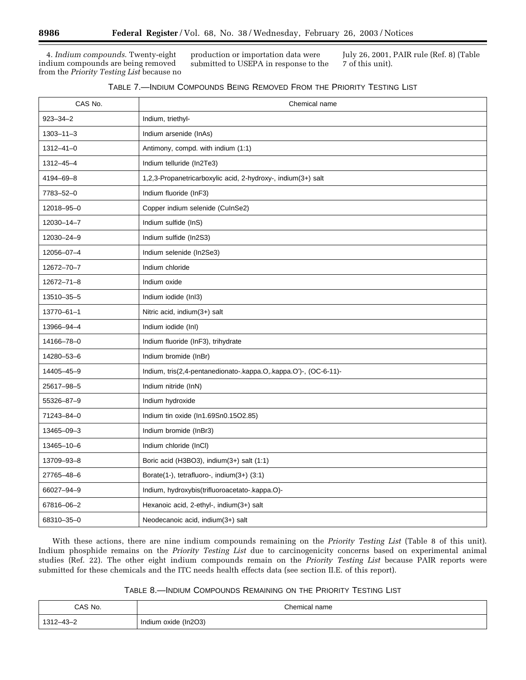4. *Indium compounds*. Twenty-eight indium compounds are being removed from the *Priority Testing List* because no production or importation data were submitted to USEPA in response to the July 26, 2001, PAIR rule (Ref. 8) (Table 7 of this unit).

| CAS No.          | Chemical name                                                    |
|------------------|------------------------------------------------------------------|
| $923 - 34 - 2$   | Indium, triethyl-                                                |
| $1303 - 11 - 3$  | Indium arsenide (InAs)                                           |
| $1312 - 41 - 0$  | Antimony, compd. with indium (1:1)                               |
| $1312 - 45 - 4$  | Indium telluride (In2Te3)                                        |
| 4194-69-8        | 1,2,3-Propanetricarboxylic acid, 2-hydroxy-, indium(3+) salt     |
| 7783-52-0        | Indium fluoride (InF3)                                           |
| 12018-95-0       | Copper indium selenide (CuInSe2)                                 |
| 12030-14-7       | Indium sulfide (InS)                                             |
| 12030-24-9       | Indium sulfide (In2S3)                                           |
| 12056-07-4       | Indium selenide (In2Se3)                                         |
| 12672-70-7       | Indium chloride                                                  |
| $12672 - 71 - 8$ | Indium oxide                                                     |
| 13510-35-5       | Indium iodide (InI3)                                             |
| 13770-61-1       | Nitric acid, indium(3+) salt                                     |
| 13966-94-4       | Indium iodide (InI)                                              |
| 14166-78-0       | Indium fluoride (InF3), trihydrate                               |
| 14280-53-6       | Indium bromide (InBr)                                            |
| 14405-45-9       | Indium, tris(2,4-pentanedionato-.kappa.O,.kappa.O')-, (OC-6-11)- |
| 25617-98-5       | Indium nitride (InN)                                             |
| 55326-87-9       | Indium hydroxide                                                 |
| 71243-84-0       | Indium tin oxide (In1.69Sn0.15O2.85)                             |
| 13465-09-3       | Indium bromide (InBr3)                                           |
| 13465-10-6       | Indium chloride (InCI)                                           |
| 13709-93-8       | Boric acid (H3BO3), indium $(3+)$ salt $(1:1)$                   |
| 27765-48-6       | Borate(1-), tetrafluoro-, indium(3+) (3:1)                       |
| 66027-94-9       | Indium, hydroxybis(trifluoroacetato-.kappa.O)-                   |
| 67816-06-2       | Hexanoic acid, 2-ethyl-, indium $(3+)$ salt                      |
| 68310-35-0       | Neodecanoic acid, indium(3+) salt                                |

With these actions, there are nine indium compounds remaining on the *Priority Testing List* (Table 8 of this unit). Indium phosphide remains on the *Priority Testing List* due to carcinogenicity concerns based on experimental animal studies (Ref. 22). The other eight indium compounds remain on the *Priority Testing List* because PAIR reports were submitted for these chemicals and the ITC needs health effects data (see section II.E. of this report).

| Table 8.—Indium Compounds Remaining on the Priority Testing List |  |
|------------------------------------------------------------------|--|
|------------------------------------------------------------------|--|

| CAS No.         | Chemical name        |  |
|-----------------|----------------------|--|
| $1312 - 43 - 2$ | Indium oxide (In2O3) |  |

Ξ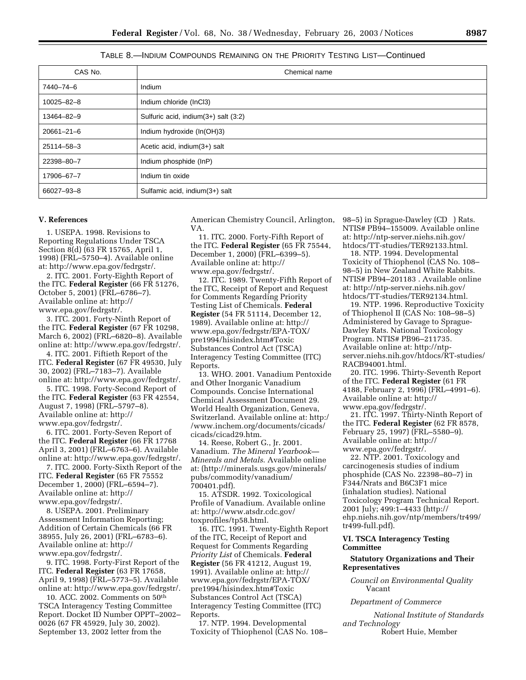# TABLE 8.—INDIUM COMPOUNDS REMAINING ON THE PRIORITY TESTING LIST—Continued

| CAS No.          | Chemical name                        |
|------------------|--------------------------------------|
| 7440-74-6        | Indium                               |
| 10025-82-8       | Indium chloride (InCl3)              |
| 13464-82-9       | Sulfuric acid, indium(3+) salt (3:2) |
| $20661 - 21 - 6$ | Indium hydroxide (In(OH)3)           |
| 25114-58-3       | Acetic acid, indium(3+) salt         |
| 22398-80-7       | Indium phosphide (InP)               |
| 17906-67-7       | Indium tin oxide                     |
| 66027-93-8       | Sulfamic acid, indium(3+) salt       |

#### **V. References**

1. USEPA. 1998. Revisions to Reporting Regulations Under TSCA Section 8(d) (63 FR 15765, April 1, 1998) (FRL–5750–4). Available online at: http://www.epa.gov/fedrgstr/.

2. ITC. 2001. Forty-Eighth Report of the ITC. **Federal Register** (66 FR 51276, October 5, 2001) (FRL–6786–7). Available online at: http:// www.epa.gov/fedrgstr/.

3. ITC. 2001. Forty-Ninth Report of the ITC. **Federal Register** (67 FR 10298, March 6, 2002) (FRL–6820–8). Available online at: http://www.epa.gov/fedrgstr/.

4. ITC. 2001. Fiftieth Report of the ITC. **Federal Register** (67 FR 49530, July 30, 2002) (FRL–7183–7). Available online at: http://www.epa.gov/fedrgstr/.

5. ITC. 1998. Forty-Second Report of the ITC. **Federal Register** (63 FR 42554, August 7, 1998) (FRL–5797–8). Available online at: http:// www.epa.gov/fedrgstr/.

6. ITC. 2001. Forty-Seven Report of the ITC. **Federal Register** (66 FR 17768 April 3, 2001) (FRL–6763–6). Available online at: http://www.epa.gov/fedrgstr/.

7. ITC. 2000. Forty-Sixth Report of the ITC. **Federal Register** (65 FR 75552 December 1, 2000) (FRL–6594–7). Available online at: http:// www.epa.gov/fedrgstr/.

8. USEPA. 2001. Preliminary Assessment Information Reporting; Addition of Certain Chemicals (66 FR 38955, July 26, 2001) (FRL–6783–6). Available online at: http:// www.epa.gov/fedrgstr/.

9. ITC. 1998. Forty-First Report of the ITC. **Federal Register** (63 FR 17658, April 9, 1998) (FRL–5773–5). Available online at: http://www.epa.gov/fedrgstr/.

10. ACC. 2002. Comments on 50th TSCA Interagency Testing Committee Report. Docket ID Number OPPT–2002– 0026 (67 FR 45929, July 30, 2002). September 13, 2002 letter from the

American Chemistry Council, Arlington, VA.

11. ITC. 2000. Forty-Fifth Report of the ITC. **Federal Register** (65 FR 75544, December 1, 2000) (FRL–6399–5). Available online at: http:// www.epa.gov/fedrgstr/.

12. ITC. 1989. Twenty-Fifth Report of the ITC, Receipt of Report and Request for Comments Regarding Priority Testing List of Chemicals. **Federal Register** (54 FR 51114, December 12, 1989). Available online at: http:// www.epa.gov/fedrgstr/EPA-TOX/ pre1994/hisindex.htm#Toxic Substances Control Act (TSCA) Interagency Testing Committee (ITC) Reports.

13. WHO. 2001. Vanadium Pentoxide and Other Inorganic Vanadium Compounds. Concise International Chemical Assessment Document 29. World Health Organization, Geneva, Switzerland. Available online at: http:/ /www.inchem.org/documents/cicads/ cicads/cicad29.htm.

14. Reese, Robert G., Jr. 2001. Vanadium. *The Mineral Yearbook— Minerals and Metals*. Available online at: (http://minerals.usgs.gov/minerals/ pubs/commodity/vanadium/ 700401.pdf).

15. ATSDR. 1992. Toxicological Profile of Vanadium. Available online at: http://www.atsdr.cdc.gov/ toxprofiles/tp58.html.

16. ITC. 1991. Twenty-Eighth Report of the ITC, Receipt of Report and Request for Comments Regarding *Priority List* of Chemicals. **Federal Register** (56 FR 41212, August 19, 1991). Available online at: http:// www.epa.gov/fedrgstr/EPA-TOX/ pre1994/hisindex.htm#Toxic Substances Control Act (TSCA) Interagency Testing Committee (ITC) Reports.

17. NTP. 1994. Developmental Toxicity of Thiophenol (CAS No. 108– 98–5) in Sprague-Dawley (CD®) Rats. NTIS# PB94–155009. Available online at: http://ntp-server.niehs.nih.gov/ htdocs/TT-studies/TER92133.html.

18. NTP. 1994. Developmental Toxicity of Thiophenol (CAS No. 108– 98–5) in New Zealand White Rabbits. NTIS# PB94–201183 . Available online at: http://ntp-server.niehs.nih.gov/ htdocs/TT-studies/TER92134.html.

19. NTP. 1996. Reproductive Toxicity of Thiophenol II (CAS No: 108–98–5) Administered by Gavage to Sprague-Dawley Rats. National Toxicology Program. NTIS# PB96–211735. Available online at: http://ntpserver.niehs.nih.gov/htdocs/RT-studies/ RACB94001.html.

20. ITC. 1996. Thirty-Seventh Report of the ITC. **Federal Register** (61 FR 4188, February 2, 1996) (FRL–4991–6). Available online at: http:// www.epa.gov/fedrgstr/.

21. ITC. 1997. Thirty-Ninth Report of the ITC. **Federal Register** (62 FR 8578, February 25, 1997) (FRL–5580–9). Available online at: http:// www.epa.gov/fedrgstr/.

22. NTP. 2001. Toxicology and carcinogenesis studies of indium phosphide (CAS No. 22398–80–7) in F344/Nrats and B6C3F1 mice (inhalation studies). National Toxicology Program Technical Report. 2001 July; 499:1–4433 (http:// ehp.niehs.nih.gov/ntp/members/tr499/ tr499-full.pdf).

# **VI. TSCA Interagency Testing Committee**

#### **Statutory Organizations and Their Representatives**

*Council on Environmental Quality* Vacant

#### *Department of Commerce*

*National Institute of Standards and Technology* Robert Huie, Member